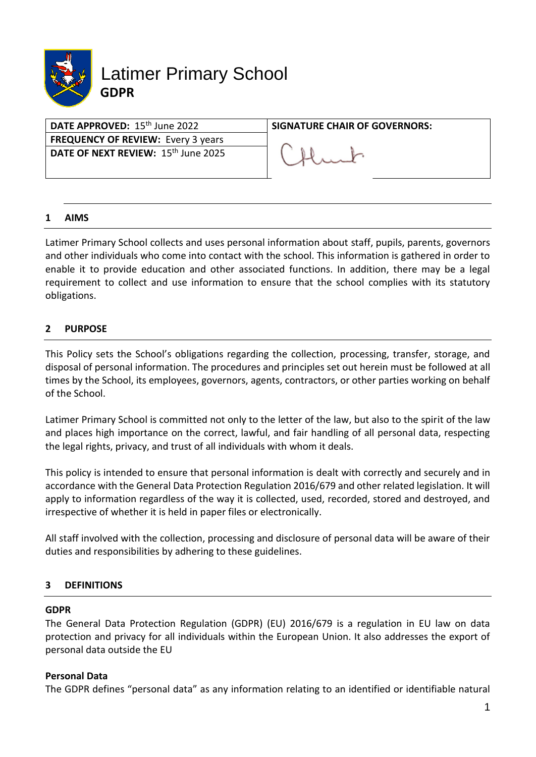

| DATE APPROVED: 15 <sup>th</sup> June 2022       | <b>SIGNATURE CHAIR OF GOVERNORS:</b> |
|-------------------------------------------------|--------------------------------------|
| <b>FREQUENCY OF REVIEW: Every 3 years</b>       |                                      |
| DATE OF NEXT REVIEW: 15 <sup>th</sup> June 2025 |                                      |
|                                                 |                                      |

## **1 AIMS**

Latimer Primary School collects and uses personal information about staff, pupils, parents, governors and other individuals who come into contact with the school. This information is gathered in order to enable it to provide education and other associated functions. In addition, there may be a legal requirement to collect and use information to ensure that the school complies with its statutory obligations.

# **2 PURPOSE**

This Policy sets the School's obligations regarding the collection, processing, transfer, storage, and disposal of personal information. The procedures and principles set out herein must be followed at all times by the School, its employees, governors, agents, contractors, or other parties working on behalf of the School.

Latimer Primary School is committed not only to the letter of the law, but also to the spirit of the law and places high importance on the correct, lawful, and fair handling of all personal data, respecting the legal rights, privacy, and trust of all individuals with whom it deals.

This policy is intended to ensure that personal information is dealt with correctly and securely and in accordance with the General Data Protection Regulation 2016/679 and other related legislation. It will apply to information regardless of the way it is collected, used, recorded, stored and destroyed, and irrespective of whether it is held in paper files or electronically.

All staff involved with the collection, processing and disclosure of personal data will be aware of their duties and responsibilities by adhering to these guidelines.

# **3 DEFINITIONS**

#### **GDPR**

The General Data Protection Regulation (GDPR) (EU) 2016/679 is a regulation in EU law on data protection and privacy for all individuals within the European Union. It also addresses the export of personal data outside the EU

#### **Personal Data**

The GDPR defines "personal data" as any information relating to an identified or identifiable natural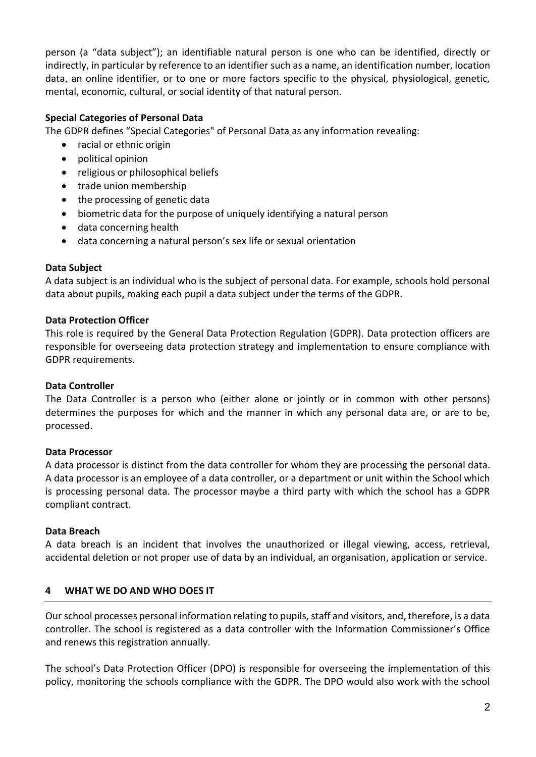person (a "data subject"); an identifiable natural person is one who can be identified, directly or indirectly, in particular by reference to an identifier such as a name, an identification number, location data, an online identifier, or to one or more factors specific to the physical, physiological, genetic, mental, economic, cultural, or social identity of that natural person.

# **Special Categories of Personal Data**

The GDPR defines "Special Categories" of Personal Data as any information revealing:

- racial or ethnic origin
- political opinion
- religious or philosophical beliefs
- trade union membership
- the processing of genetic data
- biometric data for the purpose of uniquely identifying a natural person
- data concerning health
- data concerning a natural person's sex life or sexual orientation

# **Data Subject**

A data subject is an individual who is the subject of personal data. For example, schools hold personal data about pupils, making each pupil a data subject under the terms of the GDPR.

## **Data Protection Officer**

This role is required by the General Data Protection Regulation (GDPR). Data protection officers are responsible for overseeing data protection strategy and implementation to ensure compliance with GDPR requirements.

#### **Data Controller**

The Data Controller is a person who (either alone or jointly or in common with other persons) determines the purposes for which and the manner in which any personal data are, or are to be, processed.

# **Data Processor**

A data processor is distinct from the data controller for whom they are processing the personal data. A data processor is an employee of a data controller, or a department or unit within the School which is processing personal data. The processor maybe a third party with which the school has a GDPR compliant contract.

#### **Data Breach**

A data breach is an incident that involves the unauthorized or illegal viewing, access, retrieval, accidental deletion or not proper use of data by an individual, an organisation, application or service.

# **4 WHAT WE DO AND WHO DOES IT**

Our school processes personal information relating to pupils, staff and visitors, and, therefore, is a data controller. The school is registered as a data controller with the Information Commissioner's Office and renews this registration annually.

The school's Data Protection Officer (DPO) is responsible for overseeing the implementation of this policy, monitoring the schools compliance with the GDPR. The DPO would also work with the school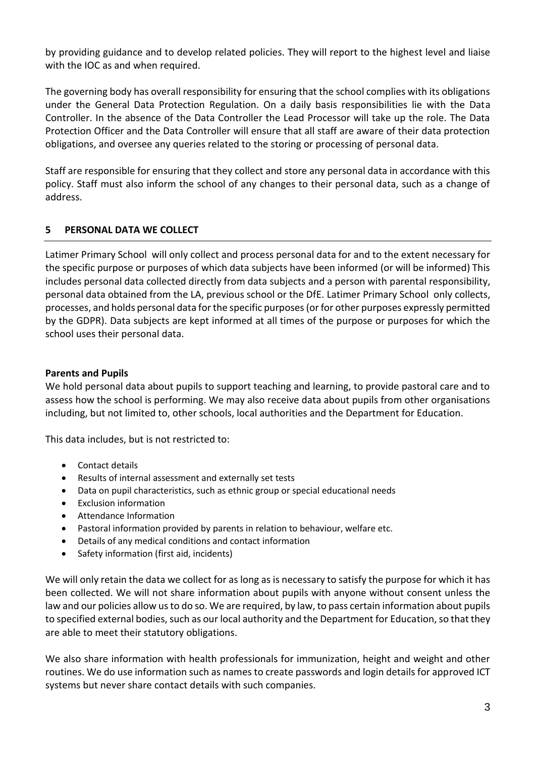by providing guidance and to develop related policies. They will report to the highest level and liaise with the IOC as and when required.

The governing body has overall responsibility for ensuring that the school complies with its obligations under the General Data Protection Regulation. On a daily basis responsibilities lie with the Data Controller. In the absence of the Data Controller the Lead Processor will take up the role. The Data Protection Officer and the Data Controller will ensure that all staff are aware of their data protection obligations, and oversee any queries related to the storing or processing of personal data.

Staff are responsible for ensuring that they collect and store any personal data in accordance with this policy. Staff must also inform the school of any changes to their personal data, such as a change of address.

# **5 PERSONAL DATA WE COLLECT**

Latimer Primary School will only collect and process personal data for and to the extent necessary for the specific purpose or purposes of which data subjects have been informed (or will be informed) This includes personal data collected directly from data subjects and a person with parental responsibility, personal data obtained from the LA, previous school or the DfE. Latimer Primary School only collects, processes, and holds personal data for the specific purposes (or for other purposes expressly permitted by the GDPR). Data subjects are kept informed at all times of the purpose or purposes for which the school uses their personal data.

# **Parents and Pupils**

We hold personal data about pupils to support teaching and learning, to provide pastoral care and to assess how the school is performing. We may also receive data about pupils from other organisations including, but not limited to, other schools, local authorities and the Department for Education.

This data includes, but is not restricted to:

- Contact details
- Results of internal assessment and externally set tests
- Data on pupil characteristics, such as ethnic group or special educational needs
- Exclusion information
- Attendance Information
- Pastoral information provided by parents in relation to behaviour, welfare etc.
- Details of any medical conditions and contact information
- Safety information (first aid, incidents)

We will only retain the data we collect for as long as is necessary to satisfy the purpose for which it has been collected. We will not share information about pupils with anyone without consent unless the law and our policies allow us to do so. We are required, by law, to pass certain information about pupils to specified external bodies, such as our local authority and the Department for Education, so that they are able to meet their statutory obligations.

We also share information with health professionals for immunization, height and weight and other routines. We do use information such as names to create passwords and login details for approved ICT systems but never share contact details with such companies.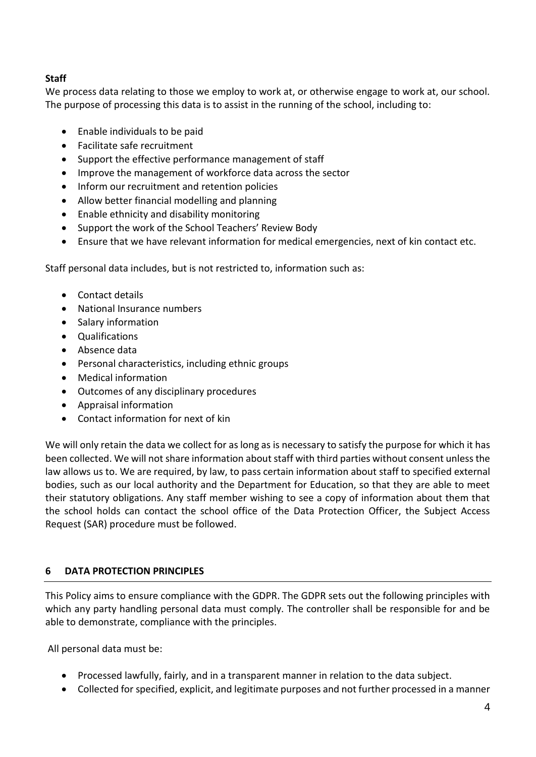# **Staff**

We process data relating to those we employ to work at, or otherwise engage to work at, our school. The purpose of processing this data is to assist in the running of the school, including to:

- Enable individuals to be paid
- Facilitate safe recruitment
- Support the effective performance management of staff
- Improve the management of workforce data across the sector
- Inform our recruitment and retention policies
- Allow better financial modelling and planning
- Enable ethnicity and disability monitoring
- Support the work of the School Teachers' Review Body
- Ensure that we have relevant information for medical emergencies, next of kin contact etc.

Staff personal data includes, but is not restricted to, information such as:

- Contact details
- National Insurance numbers
- Salary information
- Qualifications
- Absence data
- Personal characteristics, including ethnic groups
- Medical information
- Outcomes of any disciplinary procedures
- Appraisal information
- Contact information for next of kin

We will only retain the data we collect for as long as is necessary to satisfy the purpose for which it has been collected. We will not share information about staff with third parties without consent unless the law allows us to. We are required, by law, to pass certain information about staff to specified external bodies, such as our local authority and the Department for Education, so that they are able to meet their statutory obligations. Any staff member wishing to see a copy of information about them that the school holds can contact the school office of the Data Protection Officer, the Subject Access Request (SAR) procedure must be followed.

# **6 DATA PROTECTION PRINCIPLES**

This Policy aims to ensure compliance with the GDPR. The GDPR sets out the following principles with which any party handling personal data must comply. The controller shall be responsible for and be able to demonstrate, compliance with the principles.

All personal data must be:

- Processed lawfully, fairly, and in a transparent manner in relation to the data subject.
- Collected for specified, explicit, and legitimate purposes and not further processed in a manner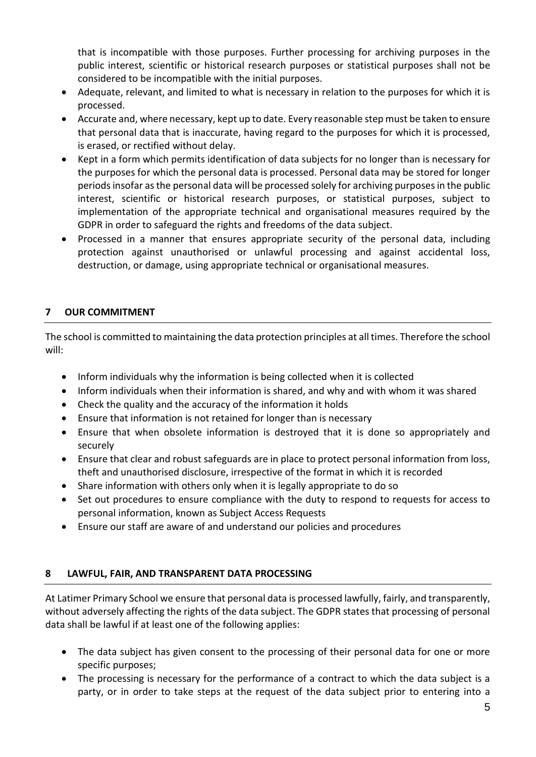that is incompatible with those purposes. Further processing for archiving purposes in the public interest, scientific or historical research purposes or statistical purposes shall not be considered to be incompatible with the initial purposes.

- Adequate, relevant, and limited to what is necessary in relation to the purposes for which it is processed.
- Accurate and, where necessary, kept up to date. Every reasonable step must be taken to ensure that personal data that is inaccurate, having regard to the purposes for which it is processed, is erased, or rectified without delay.
- Kept in a form which permits identification of data subjects for no longer than is necessary for the purposes for which the personal data is processed. Personal data may be stored for longer periods insofar as the personal data will be processed solely for archiving purposes in the public interest, scientific or historical research purposes, or statistical purposes, subject to implementation of the appropriate technical and organisational measures required by the GDPR in order to safeguard the rights and freedoms of the data subject.
- Processed in a manner that ensures appropriate security of the personal data, including protection against unauthorised or unlawful processing and against accidental loss, destruction, or damage, using appropriate technical or organisational measures.

# **7 OUR COMMITMENT**

The school is committed to maintaining the data protection principles at all times. Therefore the school will:

- Inform individuals why the information is being collected when it is collected
- Inform individuals when their information is shared, and why and with whom it was shared
- Check the quality and the accuracy of the information it holds
- Ensure that information is not retained for longer than is necessary
- Ensure that when obsolete information is destroyed that it is done so appropriately and securely
- Ensure that clear and robust safeguards are in place to protect personal information from loss, theft and unauthorised disclosure, irrespective of the format in which it is recorded
- Share information with others only when it is legally appropriate to do so
- Set out procedures to ensure compliance with the duty to respond to requests for access to personal information, known as Subject Access Requests
- Ensure our staff are aware of and understand our policies and procedures

# **8 LAWFUL, FAIR, AND TRANSPARENT DATA PROCESSING**

At Latimer Primary School we ensure that personal data is processed lawfully, fairly, and transparently, without adversely affecting the rights of the data subject. The GDPR states that processing of personal data shall be lawful if at least one of the following applies:

- The data subject has given consent to the processing of their personal data for one or more specific purposes;
- The processing is necessary for the performance of a contract to which the data subject is a party, or in order to take steps at the request of the data subject prior to entering into a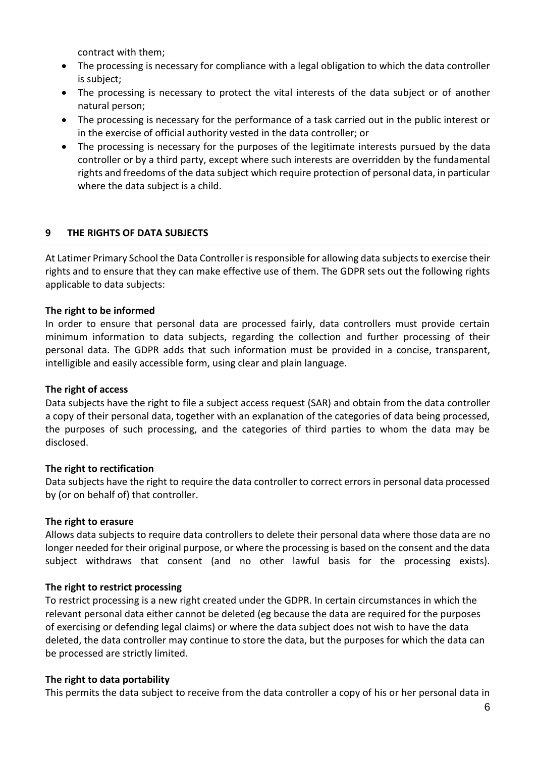contract with them;

- The processing is necessary for compliance with a legal obligation to which the data controller is subject;
- The processing is necessary to protect the vital interests of the data subject or of another natural person;
- The processing is necessary for the performance of a task carried out in the public interest or in the exercise of official authority vested in the data controller; or
- The processing is necessary for the purposes of the legitimate interests pursued by the data controller or by a third party, except where such interests are overridden by the fundamental rights and freedoms of the data subject which require protection of personal data, in particular where the data subject is a child.

# **9 THE RIGHTS OF DATA SUBJECTS**

At Latimer Primary School the Data Controller is responsible for allowing data subjects to exercise their rights and to ensure that they can make effective use of them. The GDPR sets out the following rights applicable to data subjects:

## **The right to be informed**

In order to ensure that personal data are processed fairly, data controllers must provide certain minimum information to data subjects, regarding the collection and further processing of their personal data. The GDPR adds that such information must be provided in a concise, transparent, intelligible and easily accessible form, using clear and plain language.

#### **The right of access**

Data subjects have the right to file a subject access request (SAR) and obtain from the data controller a copy of their personal data, together with an explanation of the categories of data being processed, the purposes of such processing, and the categories of third parties to whom the data may be disclosed.

#### **The right to rectification**

Data subjects have the right to require the data controller to correct errors in personal data processed by (or on behalf of) that controller.

#### **The right to erasure**

Allows data subjects to require data controllers to delete their personal data where those data are no longer needed for their original purpose, or where the processing is based on the consent and the data subject withdraws that consent (and no other lawful basis for the processing exists).

#### **The right to restrict processing**

To restrict processing is a new right created under the GDPR. In certain circumstances in which the relevant personal data either cannot be deleted (eg because the data are required for the purposes of exercising or defending legal claims) or where the data subject does not wish to have the data deleted, the data controller may continue to store the data, but the purposes for which the data can be processed are strictly limited.

#### **The right to data portability**

This permits the data subject to receive from the data controller a copy of his or her personal data in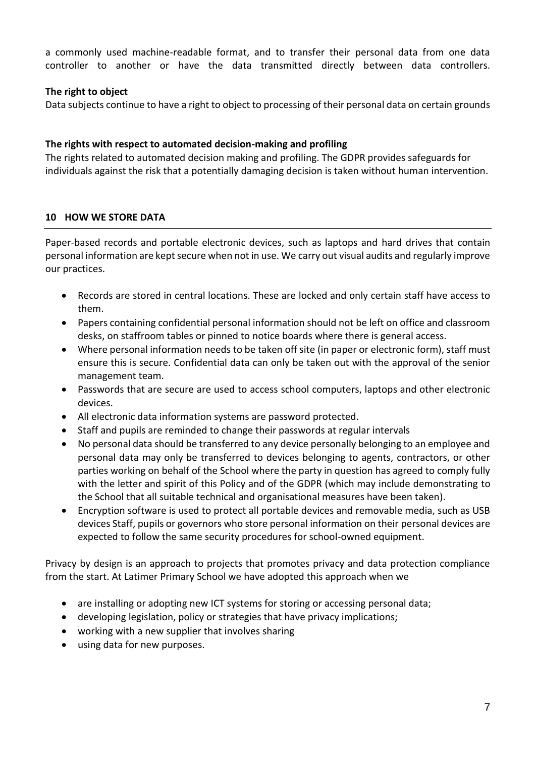a commonly used machine-readable format, and to transfer their personal data from one data controller to another or have the data transmitted directly between data controllers.

# **The right to object**

Data subjects continue to have a right to object to processing of their personal data on certain grounds

# **The rights with respect to automated decision-making and profiling**

The rights related to automated decision making and profiling. The GDPR provides safeguards for individuals against the risk that a potentially damaging decision is taken without human intervention.

# **10 HOW WE STORE DATA**

Paper-based records and portable electronic devices, such as laptops and hard drives that contain personal information are kept secure when not in use. We carry out visual audits and regularly improve our practices.

- Records are stored in central locations. These are locked and only certain staff have access to them.
- Papers containing confidential personal information should not be left on office and classroom desks, on staffroom tables or pinned to notice boards where there is general access.
- Where personal information needs to be taken off site (in paper or electronic form), staff must ensure this is secure. Confidential data can only be taken out with the approval of the senior management team.
- Passwords that are secure are used to access school computers, laptops and other electronic devices.
- All electronic data information systems are password protected.
- Staff and pupils are reminded to change their passwords at regular intervals
- No personal data should be transferred to any device personally belonging to an employee and personal data may only be transferred to devices belonging to agents, contractors, or other parties working on behalf of the School where the party in question has agreed to comply fully with the letter and spirit of this Policy and of the GDPR (which may include demonstrating to the School that all suitable technical and organisational measures have been taken).
- Encryption software is used to protect all portable devices and removable media, such as USB devices Staff, pupils or governors who store personal information on their personal devices are expected to follow the same security procedures for school-owned equipment.

Privacy by design is an approach to projects that promotes privacy and data protection compliance from the start. At Latimer Primary School we have adopted this approach when we

- are installing or adopting new ICT systems for storing or accessing personal data;
- developing legislation, policy or strategies that have privacy implications;
- working with a new supplier that involves sharing
- using data for new purposes.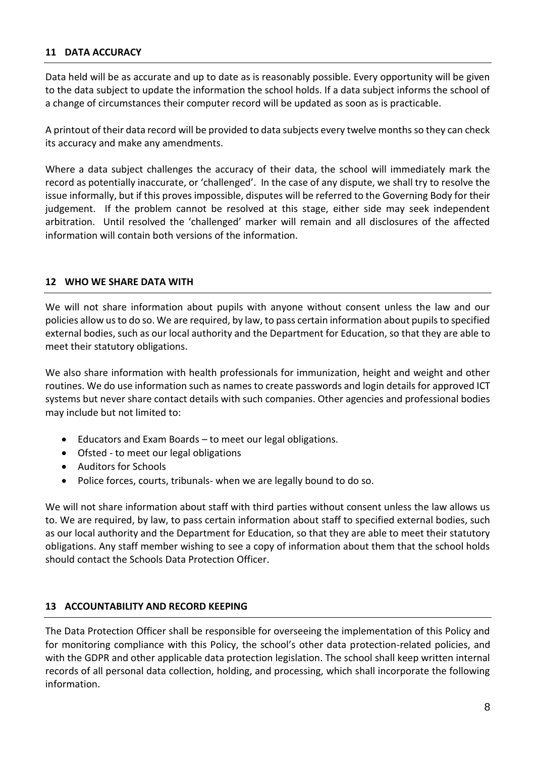## **11 DATA ACCURACY**

Data held will be as accurate and up to date as is reasonably possible. Every opportunity will be given to the data subject to update the information the school holds. If a data subject informs the school of a change of circumstances their computer record will be updated as soon as is practicable.

A printout of their data record will be provided to data subjects every twelve months so they can check its accuracy and make any amendments.

Where a data subject challenges the accuracy of their data, the school will immediately mark the record as potentially inaccurate, or 'challenged'. In the case of any dispute, we shall try to resolve the issue informally, but if this proves impossible, disputes will be referred to the Governing Body for their judgement. If the problem cannot be resolved at this stage, either side may seek independent arbitration. Until resolved the 'challenged' marker will remain and all disclosures of the affected information will contain both versions of the information.

#### **12 WHO WE SHARE DATA WITH**

We will not share information about pupils with anyone without consent unless the law and our policies allow us to do so. We are required, by law, to pass certain information about pupils to specified external bodies, such as our local authority and the Department for Education, so that they are able to meet their statutory obligations.

We also share information with health professionals for immunization, height and weight and other routines. We do use information such as names to create passwords and login details for approved ICT systems but never share contact details with such companies. Other agencies and professional bodies may include but not limited to:

- Educators and Exam Boards to meet our legal obligations.
- Ofsted to meet our legal obligations
- Auditors for Schools
- Police forces, courts, tribunals- when we are legally bound to do so.

We will not share information about staff with third parties without consent unless the law allows us to. We are required, by law, to pass certain information about staff to specified external bodies, such as our local authority and the Department for Education, so that they are able to meet their statutory obligations. Any staff member wishing to see a copy of information about them that the school holds should contact the Schools Data Protection Officer.

#### **13 ACCOUNTABILITY AND RECORD KEEPING**

The Data Protection Officer shall be responsible for overseeing the implementation of this Policy and for monitoring compliance with this Policy, the school's other data protection-related policies, and with the GDPR and other applicable data protection legislation. The school shall keep written internal records of all personal data collection, holding, and processing, which shall incorporate the following information.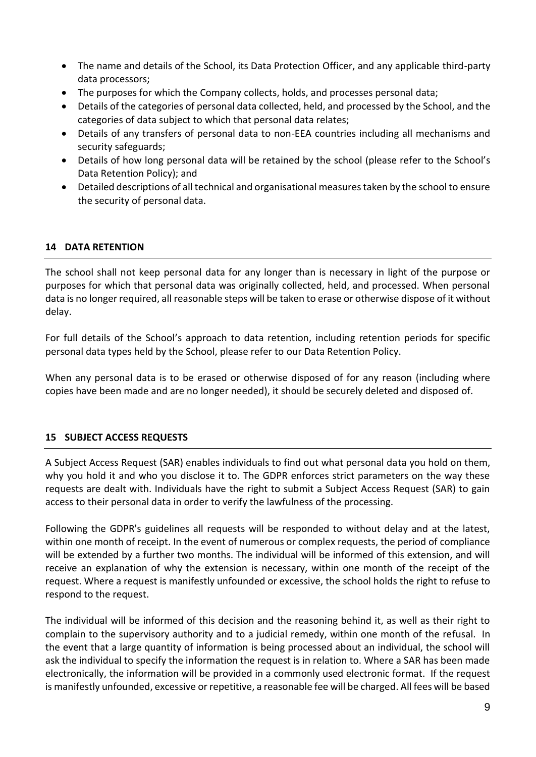- The name and details of the School, its Data Protection Officer, and any applicable third-party data processors;
- The purposes for which the Company collects, holds, and processes personal data;
- Details of the categories of personal data collected, held, and processed by the School, and the categories of data subject to which that personal data relates;
- Details of any transfers of personal data to non-EEA countries including all mechanisms and security safeguards;
- Details of how long personal data will be retained by the school (please refer to the School's Data Retention Policy); and
- Detailed descriptions of all technical and organisational measures taken by the school to ensure the security of personal data.

# **14 DATA RETENTION**

The school shall not keep personal data for any longer than is necessary in light of the purpose or purposes for which that personal data was originally collected, held, and processed. When personal data is no longer required, all reasonable steps will be taken to erase or otherwise dispose of it without delay.

For full details of the School's approach to data retention, including retention periods for specific personal data types held by the School, please refer to our Data Retention Policy.

When any personal data is to be erased or otherwise disposed of for any reason (including where copies have been made and are no longer needed), it should be securely deleted and disposed of.

# **15 SUBJECT ACCESS REQUESTS**

A Subject Access Request (SAR) enables individuals to find out what personal data you hold on them, why you hold it and who you disclose it to. The GDPR enforces strict parameters on the way these requests are dealt with. Individuals have the right to submit a Subject Access Request (SAR) to gain access to their personal data in order to verify the lawfulness of the processing.

Following the GDPR's guidelines all requests will be responded to without delay and at the latest, within one month of receipt. In the event of numerous or complex requests, the period of compliance will be extended by a further two months. The individual will be informed of this extension, and will receive an explanation of why the extension is necessary, within one month of the receipt of the request. Where a request is manifestly unfounded or excessive, the school holds the right to refuse to respond to the request.

The individual will be informed of this decision and the reasoning behind it, as well as their right to complain to the supervisory authority and to a judicial remedy, within one month of the refusal. In the event that a large quantity of information is being processed about an individual, the school will ask the individual to specify the information the request is in relation to. Where a SAR has been made electronically, the information will be provided in a commonly used electronic format. If the request is manifestly unfounded, excessive or repetitive, a reasonable fee will be charged. All fees will be based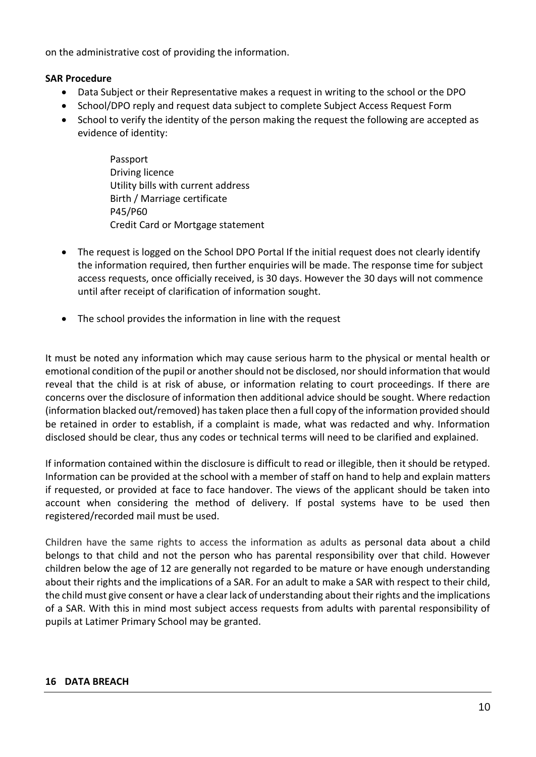on the administrative cost of providing the information.

## **SAR Procedure**

- Data Subject or their Representative makes a request in writing to the school or the DPO
- School/DPO reply and request data subject to complete Subject Access Request Form
- School to verify the identity of the person making the request the following are accepted as evidence of identity:
	- Passport Driving licence Utility bills with current address Birth / Marriage certificate P45/P60 Credit Card or Mortgage statement
- The request is logged on the School DPO Portal If the initial request does not clearly identify the information required, then further enquiries will be made. The response time for subject access requests, once officially received, is 30 days. However the 30 days will not commence until after receipt of clarification of information sought.
- The school provides the information in line with the request

It must be noted any information which may cause serious harm to the physical or mental health or emotional condition of the pupil or another should not be disclosed, nor should information that would reveal that the child is at risk of abuse, or information relating to court proceedings. If there are concerns over the disclosure of information then additional advice should be sought. Where redaction (information blacked out/removed) has taken place then a full copy of the information provided should be retained in order to establish, if a complaint is made, what was redacted and why. Information disclosed should be clear, thus any codes or technical terms will need to be clarified and explained.

If information contained within the disclosure is difficult to read or illegible, then it should be retyped. Information can be provided at the school with a member of staff on hand to help and explain matters if requested, or provided at face to face handover. The views of the applicant should be taken into account when considering the method of delivery. If postal systems have to be used then registered/recorded mail must be used.

Children have the same rights to access the information as adults as personal data about a child belongs to that child and not the person who has parental responsibility over that child. However children below the age of 12 are generally not regarded to be mature or have enough understanding about their rights and the implications of a SAR. For an adult to make a SAR with respect to their child, the child must give consent or have a clear lack of understanding about their rights and the implications of a SAR. With this in mind most subject access requests from adults with parental responsibility of pupils at Latimer Primary School may be granted.

#### **16 DATA BREACH**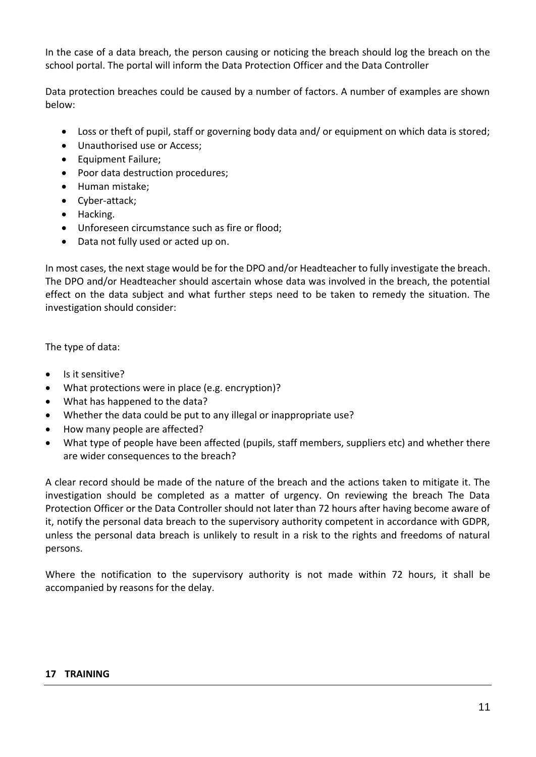In the case of a data breach, the person causing or noticing the breach should log the breach on the school portal. The portal will inform the Data Protection Officer and the Data Controller

Data protection breaches could be caused by a number of factors. A number of examples are shown below:

- Loss or theft of pupil, staff or governing body data and/ or equipment on which data is stored;
- Unauthorised use or Access;
- Equipment Failure;
- Poor data destruction procedures;
- Human mistake;
- Cyber-attack;
- Hacking.
- Unforeseen circumstance such as fire or flood;
- Data not fully used or acted up on.

In most cases, the next stage would be for the DPO and/or Headteacher to fully investigate the breach. The DPO and/or Headteacher should ascertain whose data was involved in the breach, the potential effect on the data subject and what further steps need to be taken to remedy the situation. The investigation should consider:

The type of data:

- Is it sensitive?
- What protections were in place (e.g. encryption)?
- What has happened to the data?
- Whether the data could be put to any illegal or inappropriate use?
- How many people are affected?
- What type of people have been affected (pupils, staff members, suppliers etc) and whether there are wider consequences to the breach?

A clear record should be made of the nature of the breach and the actions taken to mitigate it. The investigation should be completed as a matter of urgency. On reviewing the breach The Data Protection Officer or the Data Controller should not later than 72 hours after having become aware of it, notify the personal data breach to the supervisory authority competent in accordance with GDPR, unless the personal data breach is unlikely to result in a risk to the rights and freedoms of natural persons.

Where the notification to the supervisory authority is not made within 72 hours, it shall be accompanied by reasons for the delay.

#### **17 TRAINING**